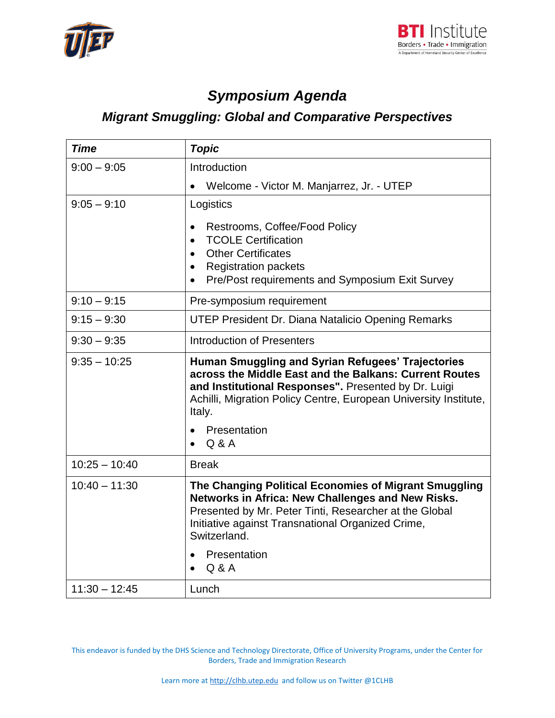



## *Symposium Agenda*

## *Migrant Smuggling: Global and Comparative Perspectives*

| <b>Time</b>     | <b>Topic</b>                                                                                                                                                                                                                                                                    |
|-----------------|---------------------------------------------------------------------------------------------------------------------------------------------------------------------------------------------------------------------------------------------------------------------------------|
| $9:00 - 9:05$   | Introduction                                                                                                                                                                                                                                                                    |
|                 | Welcome - Victor M. Manjarrez, Jr. - UTEP                                                                                                                                                                                                                                       |
| $9:05 - 9:10$   | Logistics                                                                                                                                                                                                                                                                       |
|                 | Restrooms, Coffee/Food Policy<br>$\bullet$<br><b>TCOLE Certification</b><br>$\bullet$<br><b>Other Certificates</b><br>$\bullet$<br><b>Registration packets</b><br>$\bullet$<br>Pre/Post requirements and Symposium Exit Survey<br>$\bullet$                                     |
| $9:10 - 9:15$   | Pre-symposium requirement                                                                                                                                                                                                                                                       |
| $9:15 - 9:30$   | <b>UTEP President Dr. Diana Natalicio Opening Remarks</b>                                                                                                                                                                                                                       |
| $9:30 - 9:35$   | <b>Introduction of Presenters</b>                                                                                                                                                                                                                                               |
| $9:35 - 10:25$  | Human Smuggling and Syrian Refugees' Trajectories<br>across the Middle East and the Balkans: Current Routes<br>and Institutional Responses". Presented by Dr. Luigi<br>Achilli, Migration Policy Centre, European University Institute,<br>Italy.<br>Presentation<br>Q & A      |
| $10:25 - 10:40$ | <b>Break</b>                                                                                                                                                                                                                                                                    |
| $10:40 - 11:30$ | The Changing Political Economies of Migrant Smuggling<br>Networks in Africa: New Challenges and New Risks.<br>Presented by Mr. Peter Tinti, Researcher at the Global<br>Initiative against Transnational Organized Crime,<br>Switzerland.<br>Presentation<br>$\bullet$<br>Q & A |
| $11:30 - 12:45$ | Lunch                                                                                                                                                                                                                                                                           |

This endeavor is funded by the DHS Science and Technology Directorate, Office of University Programs, under the Center for Borders, Trade and Immigration Research